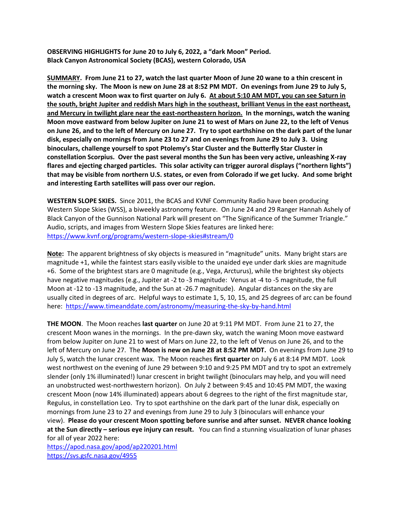**OBSERVING HIGHLIGHTS for June 20 to July 6, 2022, a "dark Moon" Period. Black Canyon Astronomical Society (BCAS), western Colorado, USA** 

**SUMMARY. From June 21 to 27, watch the last quarter Moon of June 20 wane to a thin crescent in the morning sky. The Moon is new on June 28 at 8:52 PM MDT. On evenings from June 29 to July 5, watch a crescent Moon wax to first quarter on July 6. At about 5:10 AM MDT, you can see Saturn in the south, bright Jupiter and reddish Mars high in the southeast, brilliant Venus in the east northeast, and Mercury in twilight glare near the east-northeastern horizon. In the mornings, watch the waning Moon move eastward from below Jupiter on June 21 to west of Mars on June 22, to the left of Venus on June 26, and to the left of Mercury on June 27. Try to spot earthshine on the dark part of the lunar disk, especially on mornings from June 23 to 27 and on evenings from June 29 to July 3. Using binoculars, challenge yourself to spot Ptolemy's Star Cluster and the Butterfly Star Cluster in constellation Scorpius. Over the past several months the Sun has been very active, unleashing X-ray flares and ejecting charged particles. This solar activity can trigger auroral displays ("northern lights") that may be visible from northern U.S. states, or even from Colorado if we get lucky. And some bright and interesting Earth satellites will pass over our region.** 

**WESTERN SLOPE SKIES.** Since 2011, the BCAS and KVNF Community Radio have been producing Western Slope Skies (WSS), a biweekly astronomy feature. On June 24 and 29 Ranger Hannah Ashely of Black Canyon of the Gunnison National Park will present on "The Significance of the Summer Triangle." Audio, scripts, and images from Western Slope Skies features are linked here: <https://www.kvnf.org/programs/western-slope-skies#stream/0>

**Note:** The apparent brightness of sky objects is measured in "magnitude" units. Many bright stars are magnitude +1, while the faintest stars easily visible to the unaided eye under dark skies are magnitude +6. Some of the brightest stars are 0 magnitude (e.g., Vega, Arcturus), while the brightest sky objects have negative magnitudes (e.g., Jupiter at -2 to -3 magnitude: Venus at -4 to -5 magnitude, the full Moon at -12 to -13 magnitude, and the Sun at -26.7 magnitude). Angular distances on the sky are usually cited in degrees of arc. Helpful ways to estimate 1, 5, 10, 15, and 25 degrees of arc can be found here:<https://www.timeanddate.com/astronomy/measuring-the-sky-by-hand.html>

**THE MOON**. The Moon reaches **last quarter** on June 20 at 9:11 PM MDT. From June 21 to 27, the crescent Moon wanes in the mornings. In the pre-dawn sky, watch the waning Moon move eastward from below Jupiter on June 21 to west of Mars on June 22, to the left of Venus on June 26, and to the left of Mercury on June 27. The **Moon is new on June 28 at 8:52 PM MDT.** On evenings from June 29 to July 5, watch the lunar crescent wax. The Moon reaches **first quarter** on July 6 at 8:14 PM MDT. Look west northwest on the evening of June 29 between 9:10 and 9:25 PM MDT and try to spot an extremely slender (only 1% illuminated!) lunar crescent in bright twilight (binoculars may help, and you will need an unobstructed west-northwestern horizon). On July 2 between 9:45 and 10:45 PM MDT, the waxing crescent Moon (now 14% illuminated) appears about 6 degrees to the right of the first magnitude star, Regulus, in constellation Leo. Try to spot earthshine on the dark part of the lunar disk, especially on mornings from June 23 to 27 and evenings from June 29 to July 3 (binoculars will enhance your view). **Please do your crescent Moon spotting before sunrise and after sunset. NEVER chance looking at the Sun directly – serious eye injury can result.** You can find a stunning visualization of lunar phases for all of year 2022 here:

<https://apod.nasa.gov/apod/ap220201.html> <https://svs.gsfc.nasa.gov/4955>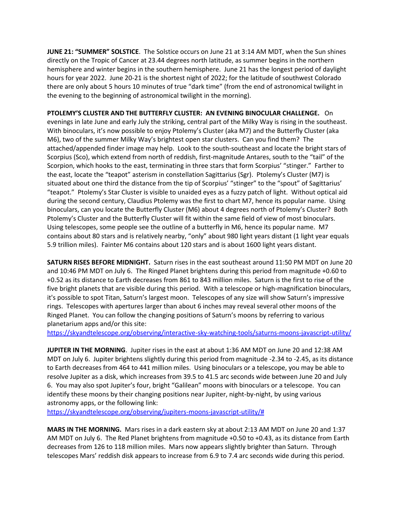**JUNE 21: "SUMMER" SOLSTICE**. The Solstice occurs on June 21 at 3:14 AM MDT, when the Sun shines directly on the Tropic of Cancer at 23.44 degrees north latitude, as summer begins in the northern hemisphere and winter begins in the southern hemisphere. June 21 has the longest period of daylight hours for year 2022. June 20-21 is the shortest night of 2022; for the latitude of southwest Colorado there are only about 5 hours 10 minutes of true "dark time" (from the end of astronomical twilight in the evening to the beginning of astronomical twilight in the morning).

**PTOLEMY'S CLUSTER AND THE BUTTERFLY CLUSTER: AN EVENING BINOCULAR CHALLENGE.** On evenings in late June and early July the striking, central part of the Milky Way is rising in the southeast. With binoculars, it's now possible to enjoy Ptolemy's Cluster (aka M7) and the Butterfly Cluster (aka M6), two of the summer Milky Way's brightest open star clusters. Can you find them? The attached/appended finder image may help. Look to the south-southeast and locate the bright stars of Scorpius (Sco), which extend from north of reddish, first-magnitude Antares, south to the "tail" of the Scorpion, which hooks to the east, terminating in three stars that form Scorpius' "stinger." Farther to the east, locate the "teapot" asterism in constellation Sagittarius (Sgr). Ptolemy's Cluster (M7) is situated about one third the distance from the tip of Scorpius' "stinger" to the "spout" of Sagittarius' "teapot." Ptolemy's Star Cluster is visible to unaided eyes as a fuzzy patch of light. Without optical aid during the second century, Claudius Ptolemy was the first to chart M7, hence its popular name. Using binoculars, can you locate the Butterfly Cluster (M6) about 4 degrees north of Ptolemy's Cluster? Both Ptolemy's Cluster and the Butterfly Cluster will fit within the same field of view of most binoculars. Using telescopes, some people see the outline of a butterfly in M6, hence its popular name. M7 contains about 80 stars and is relatively nearby, "only" about 980 light years distant (1 light year equals 5.9 trillion miles). Fainter M6 contains about 120 stars and is about 1600 light years distant.

**SATURN RISES BEFORE MIDNIGHT.** Saturn rises in the east southeast around 11:50 PM MDT on June 20 and 10:46 PM MDT on July 6. The Ringed Planet brightens during this period from magnitude +0.60 to +0.52 as its distance to Earth decreases from 861 to 843 million miles. Saturn is the first to rise of the five bright planets that are visible during this period. With a telescope or high-magnification binoculars, it's possible to spot Titan, Saturn's largest moon. Telescopes of any size will show Saturn's impressive rings. Telescopes with apertures larger than about 6 inches may reveal several other moons of the Ringed Planet. You can follow the changing positions of Saturn's moons by referring to various planetarium apps and/or this site:

<https://skyandtelescope.org/observing/interactive-sky-watching-tools/saturns-moons-javascript-utility/>

**JUPITER IN THE MORNING**. Jupiter rises in the east at about 1:36 AM MDT on June 20 and 12:38 AM MDT on July 6. Jupiter brightens slightly during this period from magnitude -2.34 to -2.45, as its distance to Earth decreases from 464 to 441 million miles. Using binoculars or a telescope, you may be able to resolve Jupiter as a disk, which increases from 39.5 to 41.5 arc seconds wide between June 20 and July 6. You may also spot Jupiter's four, bright "Galilean" moons with binoculars or a telescope. You can identify these moons by their changing positions near Jupiter, night-by-night, by using various astronomy apps, or the following link:

[https://skyandtelescope.org/observing/jupiters-moons-javascript-utility/#](https://skyandtelescope.org/observing/jupiters-moons-javascript-utility/)

**MARS IN THE MORNING.** Mars rises in a dark eastern sky at about 2:13 AM MDT on June 20 and 1:37 AM MDT on July 6. The Red Planet brightens from magnitude +0.50 to +0.43, as its distance from Earth decreases from 126 to 118 million miles. Mars now appears slightly brighter than Saturn. Through telescopes Mars' reddish disk appears to increase from 6.9 to 7.4 arc seconds wide during this period.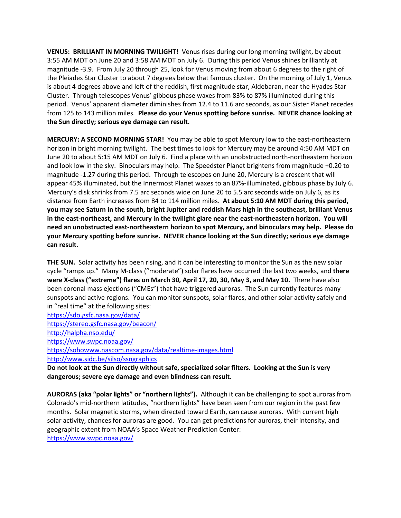**VENUS: BRILLIANT IN MORNING TWILIGHT!** Venus rises during our long morning twilight, by about 3:55 AM MDT on June 20 and 3:58 AM MDT on July 6. During this period Venus shines brilliantly at magnitude -3.9. From July 20 through 25, look for Venus moving from about 6 degrees to the right of the Pleiades Star Cluster to about 7 degrees below that famous cluster. On the morning of July 1, Venus is about 4 degrees above and left of the reddish, first magnitude star, Aldebaran, near the Hyades Star Cluster. Through telescopes Venus' gibbous phase waxes from 83% to 87% illuminated during this period. Venus' apparent diameter diminishes from 12.4 to 11.6 arc seconds, as our Sister Planet recedes from 125 to 143 million miles. **Please do your Venus spotting before sunrise. NEVER chance looking at the Sun directly; serious eye damage can result.** 

**MERCURY: A SECOND MORNING STAR!** You may be able to spot Mercury low to the east-northeastern horizon in bright morning twilight. The best times to look for Mercury may be around 4:50 AM MDT on June 20 to about 5:15 AM MDT on July 6. Find a place with an unobstructed north-northeastern horizon and look low in the sky. Binoculars may help. The Speedster Planet brightens from magnitude +0.20 to magnitude -1.27 during this period. Through telescopes on June 20, Mercury is a crescent that will appear 45% illuminated, but the Innermost Planet waxes to an 87%-illuminated, gibbous phase by July 6. Mercury's disk shrinks from 7.5 arc seconds wide on June 20 to 5.5 arc seconds wide on July 6, as its distance from Earth increases from 84 to 114 million miles. **At about 5:10 AM MDT during this period, you may see Saturn in the south, bright Jupiter and reddish Mars high in the southeast, brilliant Venus in the east-northeast, and Mercury in the twilight glare near the east-northeastern horizon. You will need an unobstructed east-northeastern horizon to spot Mercury, and binoculars may help. Please do your Mercury spotting before sunrise. NEVER chance looking at the Sun directly; serious eye damage can result.** 

**THE SUN.** Solar activity has been rising, and it can be interesting to monitor the Sun as the new solar cycle "ramps up." Many M-class ("moderate") solar flares have occurred the last two weeks, and **there were X-class ("extreme") flares on March 30, April 17, 20, 30, May 3, and May 10.** There have also been coronal mass ejections ("CMEs") that have triggered auroras. The Sun currently features many sunspots and active regions. You can monitor sunspots, solar flares, and other solar activity safely and in "real time" at the following sites:

<https://sdo.gsfc.nasa.gov/data/>

<https://stereo.gsfc.nasa.gov/beacon/> <http://halpha.nso.edu/> <https://www.swpc.noaa.gov/> <https://sohowww.nascom.nasa.gov/data/realtime-images.html> <http://www.sidc.be/silso/ssngraphics>

**Do not look at the Sun directly without safe, specialized solar filters. Looking at the Sun is very dangerous; severe eye damage and even blindness can result.** 

**AURORAS (aka "polar lights" or "northern lights").** Although it can be challenging to spot auroras from Colorado's mid-northern latitudes, "northern lights" have been seen from our region in the past few months. Solar magnetic storms, when directed toward Earth, can cause auroras. With current high solar activity, chances for auroras are good. You can get predictions for auroras, their intensity, and geographic extent from NOAA's Space Weather Prediction Center: <https://www.swpc.noaa.gov/>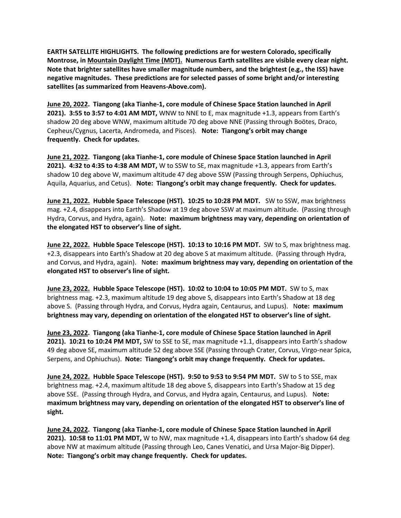**EARTH SATELLITE HIGHLIGHTS. The following predictions are for western Colorado, specifically Montrose, in Mountain Daylight Time (MDT). Numerous Earth satellites are visible every clear night. Note that brighter satellites have smaller magnitude numbers, and the brightest (e.g., the ISS) have negative magnitudes. These predictions are for selected passes of some bright and/or interesting satellites (as summarized from Heavens-Above.com).** 

**June 20, 2022. Tiangong (aka Tianhe-1, core module of Chinese Space Station launched in April 2021). 3:55 to 3:57 to 4:01 AM MDT,** WNW to NNE to E, max magnitude +1.3, appears from Earth's shadow 20 deg above WNW, maximum altitude 70 deg above NNE (Passing through Boötes, Draco, Cepheus/Cygnus, Lacerta, Andromeda, and Pisces). **Note: Tiangong's orbit may change frequently. Check for updates.**

**June 21, 2022. Tiangong (aka Tianhe-1, core module of Chinese Space Station launched in April 2021). 4:32 to 4:35 to 4:38 AM MDT,** W to SSW to SE, max magnitude +1.3, appears from Earth's shadow 10 deg above W, maximum altitude 47 deg above SSW (Passing through Serpens, Ophiuchus, Aquila, Aquarius, and Cetus). **Note: Tiangong's orbit may change frequently. Check for updates.**

**June 21, 2022. Hubble Space Telescope (HST). 10:25 to 10:28 PM MDT.** SW to SSW, max brightness mag. +2.4, disappears into Earth's Shadow at 19 deg above SSW at maximum altitude. (Passing through Hydra, Corvus, and Hydra, again). N**ote: maximum brightness may vary, depending on orientation of the elongated HST to observer's line of sight.** 

**June 22, 2022. Hubble Space Telescope (HST). 10:13 to 10:16 PM MDT.** SW to S, max brightness mag. +2.3, disappears into Earth's Shadow at 20 deg above S at maximum altitude. (Passing through Hydra, and Corvus, and Hydra, again). N**ote: maximum brightness may vary, depending on orientation of the elongated HST to observer's line of sight.** 

**June 23, 2022. Hubble Space Telescope (HST). 10:02 to 10:04 to 10:05 PM MDT.** SW to S, max brightness mag. +2.3, maximum altitude 19 deg above S, disappears into Earth's Shadow at 18 deg above S. (Passing through Hydra, and Corvus, Hydra again, Centaurus, and Lupus). N**ote: maximum brightness may vary, depending on orientation of the elongated HST to observer's line of sight.** 

**June 23, 2022. Tiangong (aka Tianhe-1, core module of Chinese Space Station launched in April 2021). 10:21 to 10:24 PM MDT,** SW to SSE to SE, max magnitude +1.1, disappears into Earth's shadow 49 deg above SE, maximum altitude 52 deg above SSE (Passing through Crater, Corvus, Virgo-near Spica, Serpens, and Ophiuchus). **Note: Tiangong's orbit may change frequently. Check for updates.**

**June 24, 2022. Hubble Space Telescope (HST). 9:50 to 9:53 to 9:54 PM MDT.** SW to S to SSE, max brightness mag. +2.4, maximum altitude 18 deg above S, disappears into Earth's Shadow at 15 deg above SSE. (Passing through Hydra, and Corvus, and Hydra again, Centaurus, and Lupus). N**ote: maximum brightness may vary, depending on orientation of the elongated HST to observer's line of sight.** 

**June 24, 2022. Tiangong (aka Tianhe-1, core module of Chinese Space Station launched in April 2021). 10:58 to 11:01 PM MDT,** W to NW, max magnitude +1.4, disappears into Earth's shadow 64 deg above NW at maximum altitude (Passing through Leo, Canes Venatici, and Ursa Major-Big Dipper). **Note: Tiangong's orbit may change frequently. Check for updates.**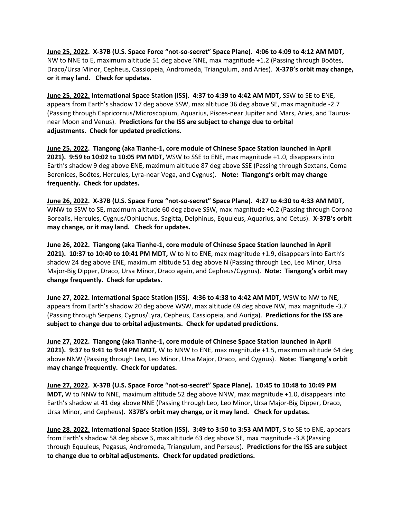**June 25, 2022. X-37B (U.S. Space Force "not-so-secret" Space Plane). 4:06 to 4:09 to 4:12 AM MDT,**  NW to NNE to E, maximum altitude 51 deg above NNE, max magnitude +1.2 (Passing through Boötes, Draco/Ursa Minor, Cepheus, Cassiopeia, Andromeda, Triangulum, and Aries). **X-37B's orbit may change, or it may land. Check for updates.**

**June 25, 2022. International Space Station (ISS). 4:37 to 4:39 to 4:42 AM MDT,** SSW to SE to ENE, appears from Earth's shadow 17 deg above SSW, max altitude 36 deg above SE, max magnitude -2.7 (Passing through Capricornus/Microscopium, Aquarius, Pisces-near Jupiter and Mars, Aries, and Taurusnear Moon and Venus). **Predictions for the ISS are subject to change due to orbital adjustments. Check for updated predictions.**

**June 25, 2022. Tiangong (aka Tianhe-1, core module of Chinese Space Station launched in April 2021). 9:59 to 10:02 to 10:05 PM MDT,** WSW to SSE to ENE, max magnitude +1.0, disappears into Earth's shadow 9 deg above ENE, maximum altitude 87 deg above SSE (Passing through Sextans, Coma Berenices, Boötes, Hercules, Lyra-near Vega, and Cygnus). **Note: Tiangong's orbit may change frequently. Check for updates.**

**June 26, 2022. X-37B (U.S. Space Force "not-so-secret" Space Plane). 4:27 to 4:30 to 4:33 AM MDT,**  WNW to SSW to SE, maximum altitude 60 deg above SSW, max magnitude +0.2 (Passing through Corona Borealis, Hercules, Cygnus/Ophiuchus, Sagitta, Delphinus, Equuleus, Aquarius, and Cetus). **X-37B's orbit may change, or it may land. Check for updates.**

**June 26, 2022. Tiangong (aka Tianhe-1, core module of Chinese Space Station launched in April 2021). 10:37 to 10:40 to 10:41 PM MDT,** W to N to ENE, max magnitude +1.9, disappears into Earth's shadow 24 deg above ENE, maximum altitude 51 deg above N (Passing through Leo, Leo Minor, Ursa Major-Big Dipper, Draco, Ursa Minor, Draco again, and Cepheus/Cygnus). **Note: Tiangong's orbit may change frequently. Check for updates.**

**June 27, 2022. International Space Station (ISS). 4:36 to 4:38 to 4:42 AM MDT,** WSW to NW to NE, appears from Earth's shadow 20 deg above WSW, max altitude 69 deg above NW, max magnitude -3.7 (Passing through Serpens, Cygnus/Lyra, Cepheus, Cassiopeia, and Auriga). **Predictions for the ISS are subject to change due to orbital adjustments. Check for updated predictions.**

**June 27, 2022. Tiangong (aka Tianhe-1, core module of Chinese Space Station launched in April 2021). 9:37 to 9:41 to 9:44 PM MDT,** W to NNW to ENE, max magnitude +1.5, maximum altitude 64 deg above NNW (Passing through Leo, Leo Minor, Ursa Major, Draco, and Cygnus). **Note: Tiangong's orbit may change frequently. Check for updates.**

**June 27, 2022. X-37B (U.S. Space Force "not-so-secret" Space Plane). 10:45 to 10:48 to 10:49 PM MDT,** W to NNW to NNE, maximum altitude 52 deg above NNW, max magnitude +1.0, disappears into Earth's shadow at 41 deg above NNE (Passing through Leo, Leo Minor, Ursa Major-Big Dipper, Draco, Ursa Minor, and Cepheus). **X37B's orbit may change, or it may land. Check for updates.**

**June 28, 2022. International Space Station (ISS). 3:49 to 3:50 to 3:53 AM MDT,** S to SE to ENE, appears from Earth's shadow 58 deg above S, max altitude 63 deg above SE, max magnitude -3.8 (Passing through Equuleus, Pegasus, Andromeda, Triangulum, and Perseus). **Predictions for the ISS are subject to change due to orbital adjustments. Check for updated predictions.**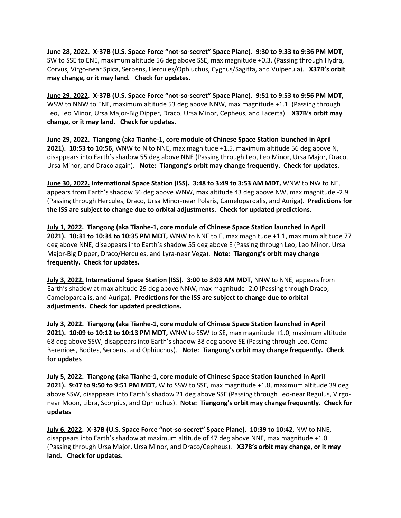**June 28, 2022. X-37B (U.S. Space Force "not-so-secret" Space Plane). 9:30 to 9:33 to 9:36 PM MDT,**  SW to SSE to ENE, maximum altitude 56 deg above SSE, max magnitude +0.3. (Passing through Hydra, Corvus, Virgo-near Spica, Serpens, Hercules/Ophiuchus, Cygnus/Sagitta, and Vulpecula). **X37B's orbit may change, or it may land. Check for updates.**

**June 29, 2022. X-37B (U.S. Space Force "not-so-secret" Space Plane). 9:51 to 9:53 to 9:56 PM MDT,**  WSW to NNW to ENE, maximum altitude 53 deg above NNW, max magnitude +1.1. (Passing through Leo, Leo Minor, Ursa Major-Big Dipper, Draco, Ursa Minor, Cepheus, and Lacerta). **X37B's orbit may change, or it may land. Check for updates.**

**June 29, 2022. Tiangong (aka Tianhe-1, core module of Chinese Space Station launched in April 2021). 10:53 to 10:56,** WNW to N to NNE, max magnitude +1.5, maximum altitude 56 deg above N, disappears into Earth's shadow 55 deg above NNE (Passing through Leo, Leo Minor, Ursa Major, Draco, Ursa Minor, and Draco again). **Note: Tiangong's orbit may change frequently. Check for updates.**

**June 30, 2022. International Space Station (ISS). 3:48 to 3:49 to 3:53 AM MDT,** WNW to NW to NE, appears from Earth's shadow 36 deg above WNW, max altitude 43 deg above NW, max magnitude -2.9 (Passing through Hercules, Draco, Ursa Minor-near Polaris, Camelopardalis, and Auriga). **Predictions for the ISS are subject to change due to orbital adjustments. Check for updated predictions.**

**July 1, 2022. Tiangong (aka Tianhe-1, core module of Chinese Space Station launched in April 2021). 10:31 to 10:34 to 10:35 PM MDT,** WNW to NNE to E, max magnitude +1.1, maximum altitude 77 deg above NNE, disappears into Earth's shadow 55 deg above E (Passing through Leo, Leo Minor, Ursa Major-Big Dipper, Draco/Hercules, and Lyra-near Vega). **Note: Tiangong's orbit may change frequently. Check for updates.**

**July 3, 2022. International Space Station (ISS). 3:00 to 3:03 AM MDT,** NNW to NNE, appears from Earth's shadow at max altitude 29 deg above NNW, max magnitude -2.0 (Passing through Draco, Camelopardalis, and Auriga). **Predictions for the ISS are subject to change due to orbital adjustments. Check for updated predictions.**

**July 3, 2022. Tiangong (aka Tianhe-1, core module of Chinese Space Station launched in April 2021). 10:09 to 10:12 to 10:13 PM MDT,** WNW to SSW to SE, max magnitude +1.0, maximum altitude 68 deg above SSW, disappears into Earth's shadow 38 deg above SE (Passing through Leo, Coma Berenices, Boötes, Serpens, and Ophiuchus). **Note: Tiangong's orbit may change frequently. Check for updates**

**July 5, 2022. Tiangong (aka Tianhe-1, core module of Chinese Space Station launched in April 2021). 9:47 to 9:50 to 9:51 PM MDT,** W to SSW to SSE, max magnitude +1.8, maximum altitude 39 deg above SSW, disappears into Earth's shadow 21 deg above SSE (Passing through Leo-near Regulus, Virgonear Moon, Libra, Scorpius, and Ophiuchus). **Note: Tiangong's orbit may change frequently. Check for updates**

**July 6, 2022. X-37B (U.S. Space Force "not-so-secret" Space Plane). 10:39 to 10:42,** NW to NNE, disappears into Earth's shadow at maximum altitude of 47 deg above NNE, max magnitude +1.0. (Passing through Ursa Major, Ursa Minor, and Draco/Cepheus). **X37B's orbit may change, or it may land. Check for updates.**